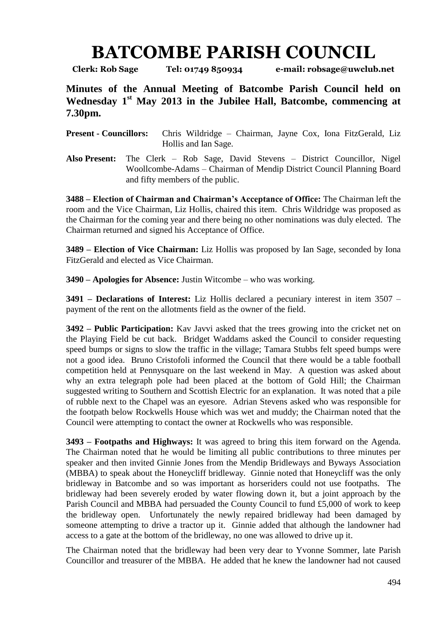## **BATCOMBE PARISH COUNCIL**

**Clerk: Rob Sage Tel: 01749 850934 e-mail: robsage@uwclub.net**

**Minutes of the Annual Meeting of Batcombe Parish Council held on Wednesday 1 st May 2013 in the Jubilee Hall, Batcombe, commencing at 7.30pm.**

**Present - Councillors:** Chris Wildridge – Chairman, Jayne Cox, Iona FitzGerald, Liz Hollis and Ian Sage.

**Also Present:** The Clerk – Rob Sage, David Stevens – District Councillor, Nigel Woollcombe-Adams – Chairman of Mendip District Council Planning Board and fifty members of the public.

**3488 – Election of Chairman and Chairman's Acceptance of Office:** The Chairman left the room and the Vice Chairman, Liz Hollis, chaired this item. Chris Wildridge was proposed as the Chairman for the coming year and there being no other nominations was duly elected. The Chairman returned and signed his Acceptance of Office.

**3489 – Election of Vice Chairman:** Liz Hollis was proposed by Ian Sage, seconded by Iona FitzGerald and elected as Vice Chairman.

**3490 – Apologies for Absence:** Justin Witcombe – who was working.

**3491 – Declarations of Interest:** Liz Hollis declared a pecuniary interest in item 3507 – payment of the rent on the allotments field as the owner of the field.

**3492 – Public Participation:** Kav Javvi asked that the trees growing into the cricket net on the Playing Field be cut back. Bridget Waddams asked the Council to consider requesting speed bumps or signs to slow the traffic in the village; Tamara Stubbs felt speed bumps were not a good idea. Bruno Cristofoli informed the Council that there would be a table football competition held at Pennysquare on the last weekend in May. A question was asked about why an extra telegraph pole had been placed at the bottom of Gold Hill; the Chairman suggested writing to Southern and Scottish Electric for an explanation. It was noted that a pile of rubble next to the Chapel was an eyesore. Adrian Stevens asked who was responsible for the footpath below Rockwells House which was wet and muddy; the Chairman noted that the Council were attempting to contact the owner at Rockwells who was responsible.

**3493 – Footpaths and Highways:** It was agreed to bring this item forward on the Agenda. The Chairman noted that he would be limiting all public contributions to three minutes per speaker and then invited Ginnie Jones from the Mendip Bridleways and Byways Association (MBBA) to speak about the Honeycliff bridleway. Ginnie noted that Honeycliff was the only bridleway in Batcombe and so was important as horseriders could not use footpaths. The bridleway had been severely eroded by water flowing down it, but a joint approach by the Parish Council and MBBA had persuaded the County Council to fund £5,000 of work to keep the bridleway open. Unfortunately the newly repaired bridleway had been damaged by someone attempting to drive a tractor up it. Ginnie added that although the landowner had access to a gate at the bottom of the bridleway, no one was allowed to drive up it.

The Chairman noted that the bridleway had been very dear to Yvonne Sommer, late Parish Councillor and treasurer of the MBBA. He added that he knew the landowner had not caused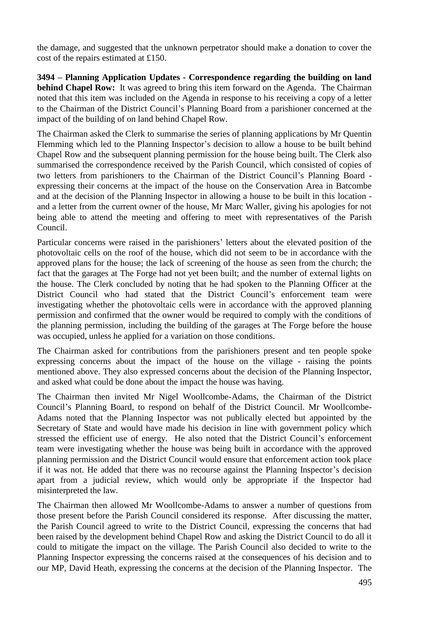the damage, and suggested that the unknown perpetrator should make a donation to cover the cost of the repairs estimated at £150.

**3494 – Planning Application Updates - Correspondence regarding the building on land behind Chapel Row:** It was agreed to bring this item forward on the Agenda. The Chairman noted that this item was included on the Agenda in response to his receiving a copy of a letter to the Chairman of the District Council's Planning Board from a parishioner concerned at the impact of the building of on land behind Chapel Row.

The Chairman asked the Clerk to summarise the series of planning applications by Mr Quentin Flemming which led to the Planning Inspector's decision to allow a house to be built behind Chapel Row and the subsequent planning permission for the house being built. The Clerk also summarised the correspondence received by the Parish Council, which consisted of copies of two letters from parishioners to the Chairman of the District Council's Planning Board expressing their concerns at the impact of the house on the Conservation Area in Batcombe and at the decision of the Planning Inspector in allowing a house to be built in this location and a letter from the current owner of the house, Mr Marc Waller, giving his apologies for not being able to attend the meeting and offering to meet with representatives of the Parish Council.

Particular concerns were raised in the parishioners' letters about the elevated position of the photovoltaic cells on the roof of the house, which did not seem to be in accordance with the approved plans for the house; the lack of screening of the house as seen from the church; the fact that the garages at The Forge had not yet been built; and the number of external lights on the house. The Clerk concluded by noting that he had spoken to the Planning Officer at the District Council who had stated that the District Council's enforcement team were investigating whether the photovoltaic cells were in accordance with the approved planning permission and confirmed that the owner would be required to comply with the conditions of the planning permission, including the building of the garages at The Forge before the house was occupied, unless he applied for a variation on those conditions.

The Chairman asked for contributions from the parishioners present and ten people spoke expressing concerns about the impact of the house on the village - raising the points mentioned above. They also expressed concerns about the decision of the Planning Inspector, and asked what could be done about the impact the house was having.

The Chairman then invited Mr Nigel Woollcombe-Adams, the Chairman of the District Council's Planning Board, to respond on behalf of the District Council. Mr Woollcombe-Adams noted that the Planning Inspector was not publically elected but appointed by the Secretary of State and would have made his decision in line with government policy which stressed the efficient use of energy. He also noted that the District Council's enforcement team were investigating whether the house was being built in accordance with the approved planning permission and the District Council would ensure that enforcement action took place if it was not. He added that there was no recourse against the Planning Inspector's decision apart from a judicial review, which would only be appropriate if the Inspector had misinterpreted the law.

The Chairman then allowed Mr Woollcombe-Adams to answer a number of questions from those present before the Parish Council considered its response. After discussing the matter, the Parish Council agreed to write to the District Council, expressing the concerns that had been raised by the development behind Chapel Row and asking the District Council to do all it could to mitigate the impact on the village. The Parish Council also decided to write to the Planning Inspector expressing the concerns raised at the consequences of his decision and to our MP, David Heath, expressing the concerns at the decision of the Planning Inspector. The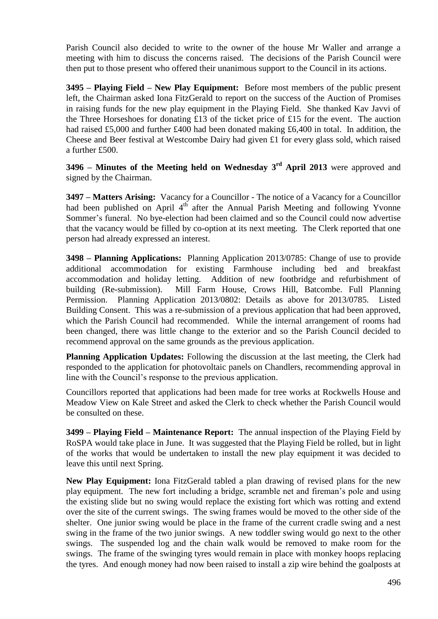Parish Council also decided to write to the owner of the house Mr Waller and arrange a meeting with him to discuss the concerns raised. The decisions of the Parish Council were then put to those present who offered their unanimous support to the Council in its actions.

**3495 – Playing Field – New Play Equipment:** Before most members of the public present left, the Chairman asked Iona FitzGerald to report on the success of the Auction of Promises in raising funds for the new play equipment in the Playing Field. She thanked Kav Javvi of the Three Horseshoes for donating £13 of the ticket price of £15 for the event. The auction had raised £5,000 and further £400 had been donated making £6,400 in total. In addition, the Cheese and Beer festival at Westcombe Dairy had given £1 for every glass sold, which raised a further £500.

**3496 – Minutes of the Meeting held on Wednesday 3 rd April 2013** were approved and signed by the Chairman.

**3497 – Matters Arising:** Vacancy for a Councillor - The notice of a Vacancy for a Councillor had been published on April  $4<sup>th</sup>$  after the Annual Parish Meeting and following Yvonne Sommer's funeral. No bye-election had been claimed and so the Council could now advertise that the vacancy would be filled by co-option at its next meeting. The Clerk reported that one person had already expressed an interest.

**3498 – Planning Applications:** Planning Application 2013/0785: Change of use to provide additional accommodation for existing Farmhouse including bed and breakfast accommodation and holiday letting. Addition of new footbridge and refurbishment of building (Re-submission). Mill Farm House, Crows Hill, Batcombe. Full Planning Permission. Planning Application 2013/0802: Details as above for 2013/0785. Listed Building Consent. This was a re-submission of a previous application that had been approved, which the Parish Council had recommended. While the internal arrangement of rooms had been changed, there was little change to the exterior and so the Parish Council decided to recommend approval on the same grounds as the previous application.

**Planning Application Updates:** Following the discussion at the last meeting, the Clerk had responded to the application for photovoltaic panels on Chandlers, recommending approval in line with the Council's response to the previous application.

Councillors reported that applications had been made for tree works at Rockwells House and Meadow View on Kale Street and asked the Clerk to check whether the Parish Council would be consulted on these.

**3499 – Playing Field – Maintenance Report:** The annual inspection of the Playing Field by RoSPA would take place in June. It was suggested that the Playing Field be rolled, but in light of the works that would be undertaken to install the new play equipment it was decided to leave this until next Spring.

**New Play Equipment:** Iona FitzGerald tabled a plan drawing of revised plans for the new play equipment. The new fort including a bridge, scramble net and fireman's pole and using the existing slide but no swing would replace the existing fort which was rotting and extend over the site of the current swings. The swing frames would be moved to the other side of the shelter. One junior swing would be place in the frame of the current cradle swing and a nest swing in the frame of the two junior swings. A new toddler swing would go next to the other swings. The suspended log and the chain walk would be removed to make room for the swings. The frame of the swinging tyres would remain in place with monkey hoops replacing the tyres. And enough money had now been raised to install a zip wire behind the goalposts at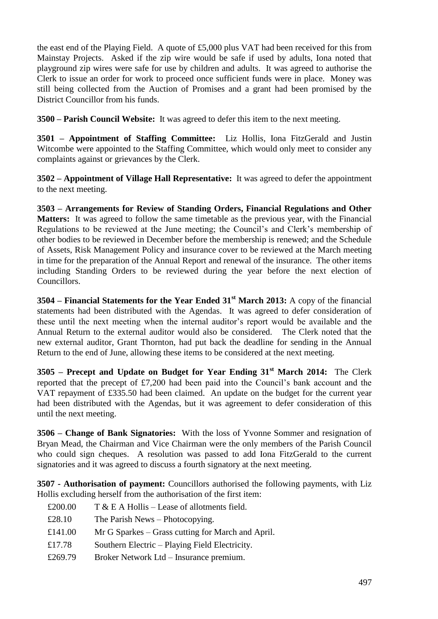the east end of the Playing Field. A quote of £5,000 plus VAT had been received for this from Mainstay Projects. Asked if the zip wire would be safe if used by adults, Iona noted that playground zip wires were safe for use by children and adults. It was agreed to authorise the Clerk to issue an order for work to proceed once sufficient funds were in place. Money was still being collected from the Auction of Promises and a grant had been promised by the District Councillor from his funds.

**3500 – Parish Council Website:** It was agreed to defer this item to the next meeting.

**3501 – Appointment of Staffing Committee:** Liz Hollis, Iona FitzGerald and Justin Witcombe were appointed to the Staffing Committee, which would only meet to consider any complaints against or grievances by the Clerk.

**3502 – Appointment of Village Hall Representative:** It was agreed to defer the appointment to the next meeting.

**3503 – Arrangements for Review of Standing Orders, Financial Regulations and Other Matters:** It was agreed to follow the same timetable as the previous year, with the Financial Regulations to be reviewed at the June meeting; the Council's and Clerk's membership of other bodies to be reviewed in December before the membership is renewed; and the Schedule of Assets, Risk Management Policy and insurance cover to be reviewed at the March meeting in time for the preparation of the Annual Report and renewal of the insurance. The other items including Standing Orders to be reviewed during the year before the next election of Councillors.

**3504 – Financial Statements for the Year Ended 31st March 2013:** A copy of the financial statements had been distributed with the Agendas. It was agreed to defer consideration of these until the next meeting when the internal auditor's report would be available and the Annual Return to the external auditor would also be considered. The Clerk noted that the new external auditor, Grant Thornton, had put back the deadline for sending in the Annual Return to the end of June, allowing these items to be considered at the next meeting.

**3505 – Precept and Update on Budget for Year Ending 31st March 2014:** The Clerk reported that the precept of £7,200 had been paid into the Council's bank account and the VAT repayment of £335.50 had been claimed. An update on the budget for the current year had been distributed with the Agendas, but it was agreement to defer consideration of this until the next meeting.

**3506 – Change of Bank Signatories:** With the loss of Yvonne Sommer and resignation of Bryan Mead, the Chairman and Vice Chairman were the only members of the Parish Council who could sign cheques. A resolution was passed to add Iona FitzGerald to the current signatories and it was agreed to discuss a fourth signatory at the next meeting.

**3507 - Authorisation of payment:** Councillors authorised the following payments, with Liz Hollis excluding herself from the authorisation of the first item:

| £200.00 | $T & E A Hollis - Lease of allotments field.$     |
|---------|---------------------------------------------------|
| £28.10  | The Parish News – Photocopying.                   |
| £141.00 | Mr G Sparkes – Grass cutting for March and April. |
| £17.78  | Southern Electric – Playing Field Electricity.    |
| £269.79 | Broker Network Ltd – Insurance premium.           |